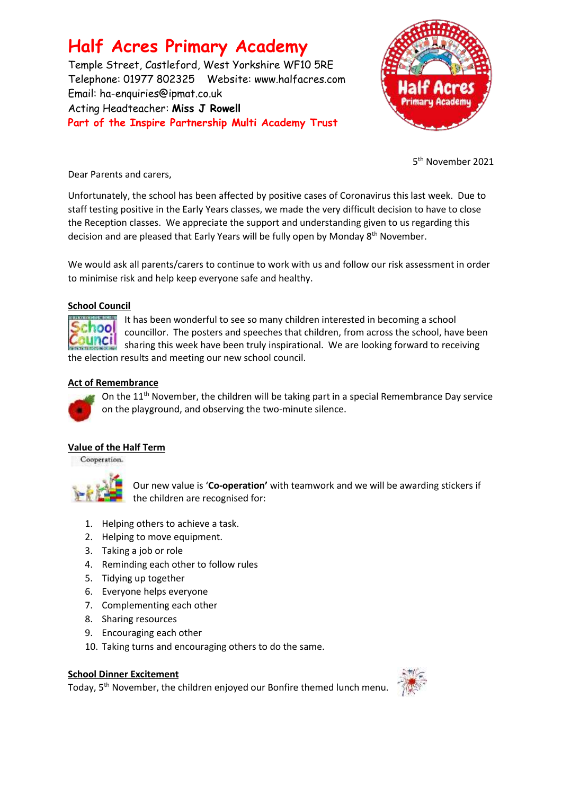# **Half Acres Primary Academy**

Temple Street, Castleford, West Yorkshire WF10 5RE Telephone: 01977 802325 Website: [www.halfacres.com](http://www.halfacres.com/) Email: ha-enquiries@ipmat.co.uk Acting Headteacher: **Miss J Rowell Part of the Inspire Partnership Multi Academy Trust**



5 th November 2021

Dear Parents and carers,

Unfortunately, the school has been affected by positive cases of Coronavirus this last week. Due to staff testing positive in the Early Years classes, we made the very difficult decision to have to close the Reception classes. We appreciate the support and understanding given to us regarding this decision and are pleased that Early Years will be fully open by Monday 8<sup>th</sup> November.

We would ask all parents/carers to continue to work with us and follow our risk assessment in order to minimise risk and help keep everyone safe and healthy.

## **School Council**



It has been wonderful to see so many children interested in becoming a school councillor. The posters and speeches that children, from across the school, have been sharing this week have been truly inspirational. We are looking forward to receiving the election results and meeting our new school council.

### **Act of Remembrance**



On the  $11<sup>th</sup>$  November, the children will be taking part in a special Remembrance Day service on the playground, and observing the two-minute silence.

## **Value of the Half Term**

Cooperation.



Our new value is '**Co-operation'** with teamwork and we will be awarding stickers if the children are recognised for:

- 1. Helping others to achieve a task.
- 2. Helping to move equipment.
- 3. Taking a job or role
- 4. Reminding each other to follow rules
- 5. Tidying up together
- 6. Everyone helps everyone
- 7. Complementing each other
- 8. Sharing resources
- 9. Encouraging each other
- 10. Taking turns and encouraging others to do the same.

### **School Dinner Excitement**

Today, 5<sup>th</sup> November, the children enjoyed our Bonfire themed lunch menu.

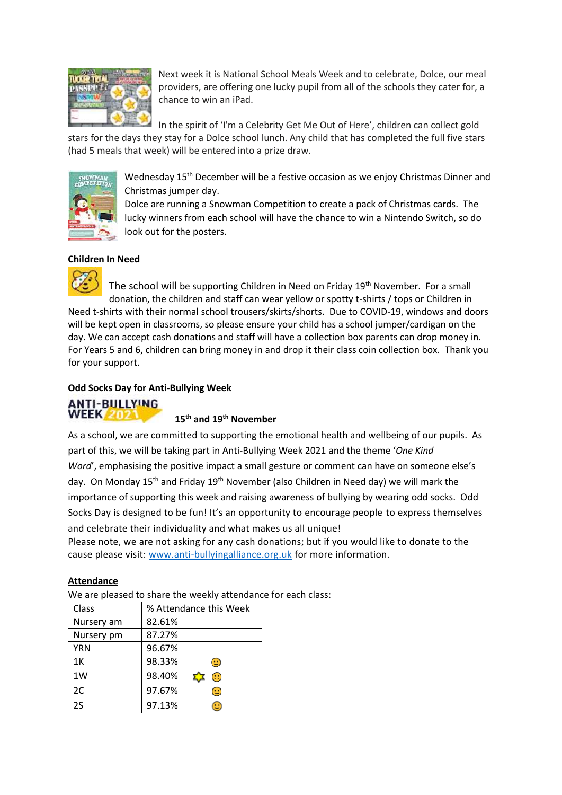

Next week it is National School Meals Week and to celebrate, Dolce, our meal providers, are offering one lucky pupil from all of the schools they cater for, a chance to win an iPad.

In the spirit of 'I'm a Celebrity Get Me Out of Here', children can collect gold stars for the days they stay for a Dolce school lunch. Any child that has completed the full five stars (had 5 meals that week) will be entered into a prize draw.



Wednesday 15<sup>th</sup> December will be a festive occasion as we enjoy Christmas Dinner and Christmas jumper day.

Dolce are running a Snowman Competition to create a pack of Christmas cards. The lucky winners from each school will have the chance to win a Nintendo Switch, so do look out for the posters.

## **Children In Need**

The school will be supporting Children in Need on Friday 19<sup>th</sup> November. For a small donation, the children and staff can wear yellow or spotty t-shirts / tops or Children in Need t-shirts with their normal school trousers/skirts/shorts. Due to COVID-19, windows and doors will be kept open in classrooms, so please ensure your child has a school jumper/cardigan on the day. We can accept cash donations and staff will have a collection box parents can drop money in. For Years 5 and 6, children can bring money in and drop it their class coin collection box. Thank you for your support.

### **Odd Socks Day for Anti-Bullying Week**



#### **15th and 19th November**

As a school, we are committed to supporting the emotional health and wellbeing of our pupils. As part of this, we will be taking part in Anti-Bullying Week 2021 and the theme '*One Kind Word'*, emphasising the positive impact a small gesture or comment can have on someone else's day. On Monday 15<sup>th</sup> and Friday 19<sup>th</sup> November (also Children in Need day) we will mark the importance of supporting this week and raising awareness of bullying by wearing odd socks. Odd Socks Day is designed to be fun! It's an opportunity to encourage people to express themselves and celebrate their individuality and what makes us all unique!

Please note, we are not asking for any cash donations; but if you would like to donate to the cause please visit: [www.anti-bullyingalliance.org.uk](http://www.anti-bullyingalliance.org.uk/) for more information.

#### **Attendance**

We are pleased to share the weekly attendance for each class:

| Class      | % Attendance this Week                                    |
|------------|-----------------------------------------------------------|
| Nursery am | 82.61%                                                    |
| Nursery pm | 87.27%                                                    |
| <b>YRN</b> | 96.67%                                                    |
| 1K         | 98.33%<br>œ                                               |
| 1W         | 98.40%<br>$\odot$                                         |
| 2C         | 97.67%<br>$\left(\mathrel{\mathop{\cup}}\nolimits\right)$ |
| 2S         | 97.13%                                                    |